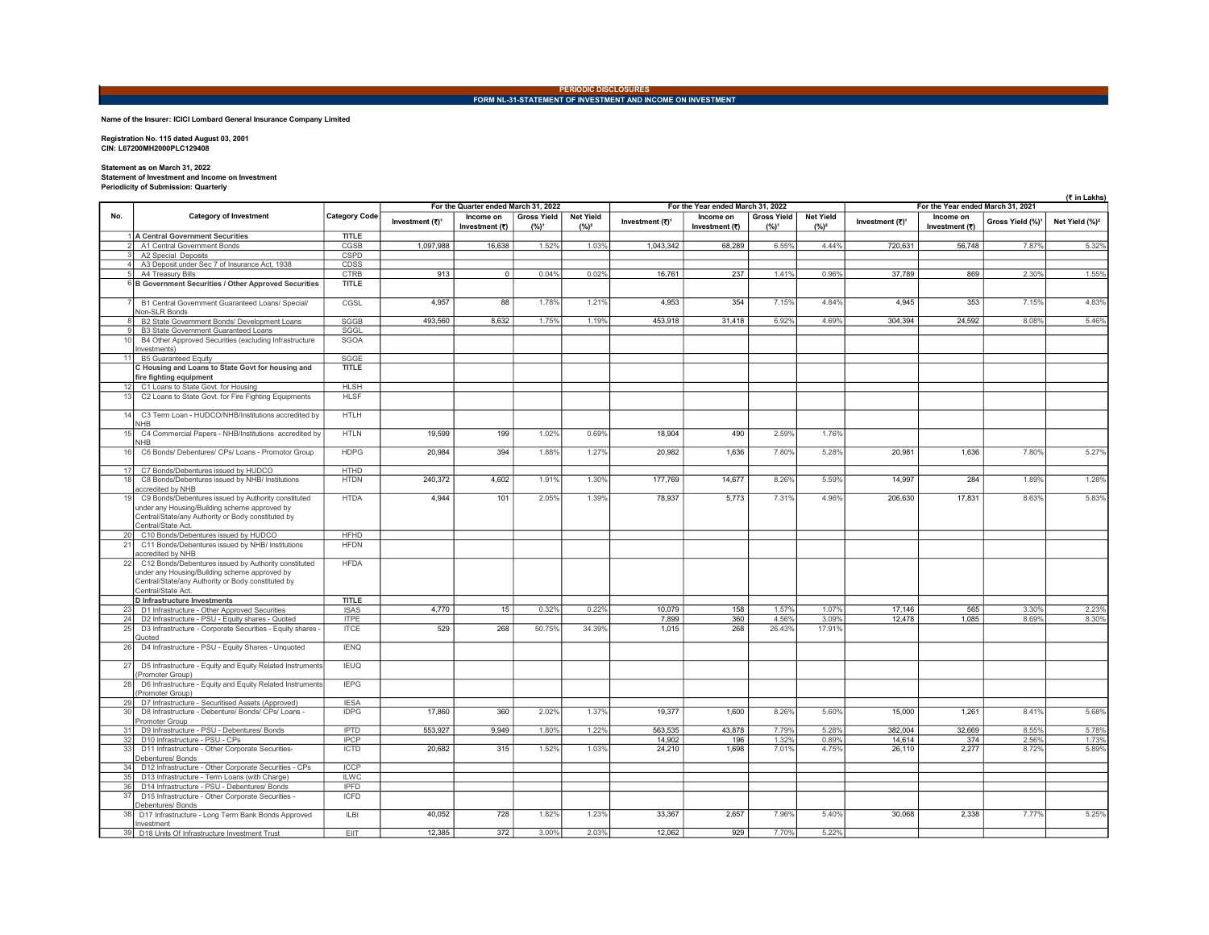## PERIODIC DISCLOSURES<br>FORM NL-31-STATEMENT OF INVESTMENT AND INCOME ON INVESTMENT

## Name of the Insurer: ICICI Lombard General Insurance Company Limited

Registration No. 115 dated August 03, 2001 CIN: L67200MH2000PLC129408

## Statement as on March 31, 2022 Statement of Investment and Income on Investment Periodicity of Submission: Quarterly

| Ferroutcity of Submission. Quarterly |                                                                                                                                                                                   |                            |                                      |                             |                               |                             |                                   |                             |                               |                                   |                  | (₹ in Lakhs)                |                              |                            |
|--------------------------------------|-----------------------------------------------------------------------------------------------------------------------------------------------------------------------------------|----------------------------|--------------------------------------|-----------------------------|-------------------------------|-----------------------------|-----------------------------------|-----------------------------|-------------------------------|-----------------------------------|------------------|-----------------------------|------------------------------|----------------------------|
|                                      |                                                                                                                                                                                   |                            | For the Quarter ended March 31, 2022 |                             |                               |                             | For the Year ended March 31, 2022 |                             |                               | For the Year ended March 31, 2021 |                  |                             |                              |                            |
| No.                                  | <b>Category of Investment</b>                                                                                                                                                     | <b>Category Code</b>       | Investment (₹) <sup>1</sup>          | Income on<br>Investment (₹) | <b>Gross Yield</b><br>$(%)^1$ | <b>Net Yield</b><br>$(%)^2$ | Investment (₹) <sup>1</sup>       | Income on<br>Investment (₹) | <b>Gross Yield</b><br>$(%)^1$ | <b>Net Yield</b><br>$(%)^2$       | Investment (₹)1  | Income on<br>Investment (₹) | Gross Yield (%) <sup>1</sup> | Net Yield (%) <sup>2</sup> |
|                                      | 1 A Central Government Securities                                                                                                                                                 | <b>TITLE</b>               |                                      |                             |                               |                             |                                   |                             |                               |                                   |                  |                             |                              |                            |
|                                      | A1 Central Government Bonds                                                                                                                                                       | CGSB                       | 1,097,988                            | 16,638                      | 1.52%                         | 1.03%                       | 1,043,342                         | 68,289                      | 6.55%                         | 4.44%                             | 720,631          | 56,748                      | 7.87%                        | 5.32%                      |
|                                      | A2 Special Deposits<br>A3 Deposit under Sec 7 of Insurance Act, 1938                                                                                                              | CSPD<br>CDSS               |                                      |                             |                               |                             |                                   |                             |                               |                                   |                  |                             |                              |                            |
|                                      | A4 Treasury Bills                                                                                                                                                                 | <b>CTRB</b>                | 913                                  | $\overline{0}$              | 0.04%                         | 0.02%                       | 16,761                            | 237                         | 1.41%                         | 0.96%                             | 37,789           | 869                         | 2.30%                        | 1.55%                      |
|                                      | 6 B Government Securities / Other Approved Securities                                                                                                                             | <b>TITLE</b>               |                                      |                             |                               |                             |                                   |                             |                               |                                   |                  |                             |                              |                            |
|                                      |                                                                                                                                                                                   |                            |                                      |                             |                               |                             |                                   |                             |                               |                                   |                  |                             |                              |                            |
|                                      | B1 Central Government Guaranteed Loans/ Special/<br>Non-SLR Bonds                                                                                                                 | CGSL                       | 4,957                                | 88                          | 1.78%                         | 1.21%                       | 4.953                             | 354                         | 7.15%                         | 4.84%                             | 4.945            | 353                         | 7.15%                        | 4.83%                      |
|                                      | B2 State Government Bonds/ Development Loans                                                                                                                                      | SGGB                       | 493.560                              | 8.632                       | 1.75%                         | 1.19%                       | 453.918                           | 31.418                      | 6.92%                         | 4.69%                             | 304.394          | 24,592                      | 8.08%                        | 5.46%                      |
|                                      | B3 State Government Guaranteed Loans                                                                                                                                              | SGGL                       |                                      |                             |                               |                             |                                   |                             |                               |                                   |                  |                             |                              |                            |
| 10                                   | B4 Other Approved Securities (excluding Infrastructure<br>nvestments)                                                                                                             | SGOA                       |                                      |                             |                               |                             |                                   |                             |                               |                                   |                  |                             |                              |                            |
| 11                                   | <b>B5 Guaranteed Equity</b>                                                                                                                                                       | SGGE                       |                                      |                             |                               |                             |                                   |                             |                               |                                   |                  |                             |                              |                            |
|                                      | C Housing and Loans to State Govt for housing and<br>fire fighting equipment                                                                                                      | <b>TITLE</b>               |                                      |                             |                               |                             |                                   |                             |                               |                                   |                  |                             |                              |                            |
|                                      | C1 Loans to State Govt. for Housing                                                                                                                                               | <b>HLSH</b>                |                                      |                             |                               |                             |                                   |                             |                               |                                   |                  |                             |                              |                            |
| 13                                   | C2 Loans to State Govt. for Fire Fighting Equipments                                                                                                                              | <b>HLSF</b>                |                                      |                             |                               |                             |                                   |                             |                               |                                   |                  |                             |                              |                            |
| 14                                   | C3 Term Loan - HUDCO/NHB/Institutions accredited by<br><b>NHB</b>                                                                                                                 | <b>HTLH</b>                |                                      |                             |                               |                             |                                   |                             |                               |                                   |                  |                             |                              |                            |
| 15                                   | C4 Commercial Papers - NHB/Institutions accredited by<br><b>NHB</b>                                                                                                               | <b>HTLN</b>                | 19,599                               | 199                         | 1.02%                         | 0.69%                       | 18,904                            | 490                         | 2.59%                         | 1.76%                             |                  |                             |                              |                            |
| 16                                   | C6 Bonds/ Debentures/ CPs/ Loans - Promotor Group                                                                                                                                 | <b>HDPG</b>                | 20,984                               | 394                         | 1.88%                         | 1.27%                       | 20,982                            | 1,636                       | 7.80%                         | 5.28%                             | 20,981           | 1,636                       | 7.80%                        | 5.27%                      |
| 17                                   | C7 Bonds/Debentures issued by HUDCO                                                                                                                                               | <b>HTHD</b>                |                                      |                             |                               |                             |                                   |                             |                               |                                   |                  |                             |                              |                            |
| 18                                   | C8 Bonds/Debentures issued by NHB/ Institutions<br>accredited by NHB                                                                                                              | <b>HTDN</b>                | 240,372                              | 4,602                       | 1.91%                         | 1.30%                       | 177,769                           | 14,677                      | 8.26%                         | 5.59%                             | 14,997           | 284                         | 1.89%                        | 1.28%                      |
| 1 <sup>c</sup>                       | C9 Bonds/Debentures issued by Authority constituted                                                                                                                               | <b>HTDA</b>                | 4,944                                | 101                         | 2.05%                         | 1.39%                       | 78,937                            | 5,773                       | 7.31%                         | 4.96%                             | 206,630          | 17,831                      | 8.63%                        | 5.83%                      |
|                                      | under any Housing/Building scheme approved by<br>Central/State/any Authority or Body constituted by<br>Central/State Act.                                                         |                            |                                      |                             |                               |                             |                                   |                             |                               |                                   |                  |                             |                              |                            |
| 20                                   | C10 Bonds/Debentures issued by HUDCO                                                                                                                                              | <b>HFHD</b>                |                                      |                             |                               |                             |                                   |                             |                               |                                   |                  |                             |                              |                            |
| 21                                   | C11 Bonds/Debentures issued by NHB/ Institutions<br>accredited by NHB                                                                                                             | <b>HFDN</b>                |                                      |                             |                               |                             |                                   |                             |                               |                                   |                  |                             |                              |                            |
| 22                                   | C12 Bonds/Debentures issued by Authority constituted<br>under any Housing/Building scheme approved by<br>Central/State/any Authority or Body constituted by<br>Central/State Act. | <b>HFDA</b>                |                                      |                             |                               |                             |                                   |                             |                               |                                   |                  |                             |                              |                            |
|                                      | <b>D</b> Infrastructure Investments                                                                                                                                               | <b>TITLE</b>               |                                      |                             |                               |                             |                                   |                             |                               |                                   |                  |                             |                              |                            |
| 23                                   | D1 Infrastructure - Other Approved Securities                                                                                                                                     | <b>ISAS</b>                | 4,770                                | 15                          | 0.32%                         | 0.22%                       | 10,079                            | 158                         | 1.57%                         | 1.07%                             | 17,146           | 565                         | 3.30%                        | 2.23%                      |
| 24                                   | D2 Infrastructure - PSU - Equity shares - Quoted                                                                                                                                  | <b>ITPE</b>                | 529                                  | 268                         | 50.75%                        |                             | 7,899                             | 360                         | 4.56%                         | 3.09%<br>17.91%                   | 12,478           | 1.085                       | 8.69%                        | 8.30%                      |
| 25                                   | D3 Infrastructure - Corporate Securities - Equity shares -<br>Quoted                                                                                                              | <b>ITCE</b>                |                                      |                             |                               | 34.39%                      | 1.015                             | 268                         | 26.43%                        |                                   |                  |                             |                              |                            |
| 26                                   | D4 Infrastructure - PSU - Equity Shares - Unquoted                                                                                                                                | <b>IENQ</b>                |                                      |                             |                               |                             |                                   |                             |                               |                                   |                  |                             |                              |                            |
| 27                                   | D5 Infrastructure - Equity and Equity Related Instruments<br>Promoter Group)                                                                                                      | <b>IEUQ</b>                |                                      |                             |                               |                             |                                   |                             |                               |                                   |                  |                             |                              |                            |
| 28                                   | D6 Infrastructure - Equity and Equity Related Instruments<br>(Promoter Group)                                                                                                     | <b>IEPG</b>                |                                      |                             |                               |                             |                                   |                             |                               |                                   |                  |                             |                              |                            |
| 2 <sup>c</sup>                       | D7 Infrastructure - Securitised Assets (Approved)                                                                                                                                 | <b>IESA</b>                |                                      |                             |                               |                             |                                   |                             |                               |                                   |                  |                             |                              |                            |
| 30                                   | D8 Infrastructure - Debenture/ Bonds/ CPs/ Loans -<br>Promoter Group                                                                                                              | <b>IDPG</b>                | 17,860                               | 360                         | 2.02%                         | 1.37%                       | 19.377                            | 1,600                       | 8.26%                         | 5.60%                             | 15,000           | 1,261                       | 8.41%                        | 5.68%                      |
| 31                                   | D9 Infrastructure - PSU - Debentures/ Bonds                                                                                                                                       | <b>IPTD</b>                | 553,927                              | 9,949                       | 1.80%                         | 1.22%                       | 563,535                           | 43,878                      | 7.79%                         | 5.28%                             | 382,004          | 32,669                      | 8.55%                        | 5.78%                      |
| 32<br>33                             | D10 Infrastructure - PSU - CPs                                                                                                                                                    | <b>IPCP</b>                | 20,682                               | $\overline{315}$            | 1.52%                         | 1.03%                       | 14,902<br>24,210                  | 196<br>1,698                | 1.32%<br>7.01%                | 0.89%<br>4.75%                    | 14.614<br>26,110 | 374                         | 2.56%<br>8.72%               | 1.73%<br>5.89%             |
|                                      | D11 Infrastructure - Other Corporate Securities-<br>Debentures/ Bonds                                                                                                             | <b>ICTD</b>                |                                      |                             |                               |                             |                                   |                             |                               |                                   |                  | 2,277                       |                              |                            |
| 34                                   | D12 Infrastructure - Other Corporate Securities - CPs                                                                                                                             | <b>ICCP</b>                |                                      |                             |                               |                             |                                   |                             |                               |                                   |                  |                             |                              |                            |
| 35                                   | D13 Infrastructure - Term Loans (with Charge)                                                                                                                                     | <b>ILWC</b><br><b>IPFD</b> |                                      |                             |                               |                             |                                   |                             |                               |                                   |                  |                             |                              |                            |
| 36<br>37                             | D14 Infrastructure - PSU - Debentures/ Bonds<br>D15 Infrastructure - Other Corporate Securities -                                                                                 | ICFD                       |                                      |                             |                               |                             |                                   |                             |                               |                                   |                  |                             |                              |                            |
| 38                                   | Debentures/ Bonds<br>D17 Infrastructure - Long Term Bank Bonds Approved                                                                                                           | <b>ILBI</b>                | 40,052                               | 728                         | 1.82%                         | 1.23%                       | 33,367                            | 2,657                       | 7.96%                         | 5.40%                             | 30,068           | 2,338                       | 7.77%                        | 5.25%                      |
|                                      | Investment                                                                                                                                                                        |                            |                                      |                             |                               |                             |                                   |                             |                               |                                   |                  |                             |                              |                            |
| 39                                   | D18 Units Of Infrastructure Investment Trust                                                                                                                                      | EIIT                       | 12.385                               | 372                         | 3.00%                         | 2.03%                       | 12.062                            | 929                         | 7.70%                         | 5.22%                             |                  |                             |                              |                            |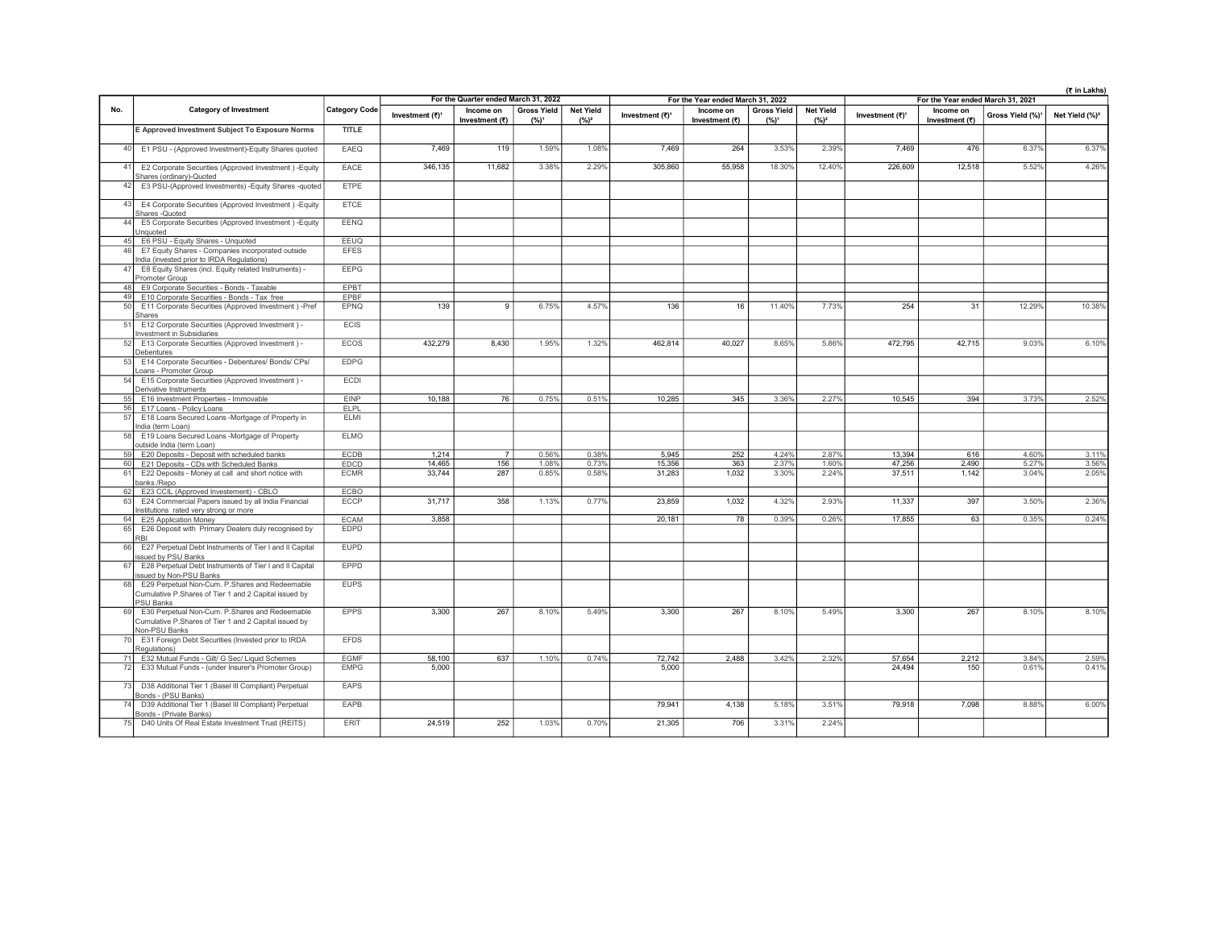|          |                                                                                                                             |                      |                             |                                      |                    |                  | (₹ in Lakhs)<br>For the Year ended March 31, 2022<br>For the Year ended March 31, 2021 |                             |                    |                  |                             |                             |                              |                            |
|----------|-----------------------------------------------------------------------------------------------------------------------------|----------------------|-----------------------------|--------------------------------------|--------------------|------------------|----------------------------------------------------------------------------------------|-----------------------------|--------------------|------------------|-----------------------------|-----------------------------|------------------------------|----------------------------|
| No.      | <b>Category of Investment</b>                                                                                               | <b>Category Code</b> |                             | For the Quarter ended March 31, 2022 | <b>Gross Yield</b> | <b>Net Yield</b> |                                                                                        |                             | <b>Gross Yield</b> | <b>Net Yield</b> |                             |                             |                              |                            |
|          |                                                                                                                             |                      | Investment (₹) <sup>1</sup> | Income on<br>Investment (₹)          | $(%)^1$            | $(%)^2$          | Investment (₹) <sup>1</sup>                                                            | Income on<br>Investment (₹) | $(%)^1$            | $(%)^2$          | Investment (₹) <sup>1</sup> | Income on<br>Investment (₹) | Gross Yield (%) <sup>1</sup> | Net Yield (%) <sup>2</sup> |
|          | E Approved Investment Subject To Exposure Norms                                                                             | <b>TITLE</b>         |                             |                                      |                    |                  |                                                                                        |                             |                    |                  |                             |                             |                              |                            |
| 40       | E1 PSU - (Approved Investment)-Equity Shares quoted                                                                         | EAEQ                 | 7.469                       | 119                                  | 1.59%              | 1.08%            | 7.469                                                                                  | 264                         | 3.53%              | 2.39%            | 7.469                       | 476                         | 6.37%                        | 6.37%                      |
| 41       | E2 Corporate Securities (Approved Investment) - Equity<br>Shares (ordinary)-Quoted                                          | EACE                 | 346,135                     | 11,682                               | 3.38%              | 2.29%            | 305.860                                                                                | 55.958                      | 18.30%             | 12.40%           | 226,609                     | 12,518                      | 5.52%                        | 4.26%                      |
| 42       | E3 PSU-(Approved Investments) - Equity Shares - quoted                                                                      | <b>FTPF</b>          |                             |                                      |                    |                  |                                                                                        |                             |                    |                  |                             |                             |                              |                            |
| 43       | E4 Corporate Securities (Approved Investment) - Equity<br>Shares - Quoted                                                   | <b>ETCE</b>          |                             |                                      |                    |                  |                                                                                        |                             |                    |                  |                             |                             |                              |                            |
| 44       | E5 Corporate Securities (Approved Investment) - Equity<br>Unquoted                                                          | <b>EENQ</b>          |                             |                                      |                    |                  |                                                                                        |                             |                    |                  |                             |                             |                              |                            |
| 45       | E6 PSU - Equity Shares - Unquoted                                                                                           | EEUQ                 |                             |                                      |                    |                  |                                                                                        |                             |                    |                  |                             |                             |                              |                            |
| 46       | E7 Equity Shares - Companies incorporated outside<br>ndia (invested prior to IRDA Regulations)                              | <b>EFES</b>          |                             |                                      |                    |                  |                                                                                        |                             |                    |                  |                             |                             |                              |                            |
| 47       | E8 Equity Shares (incl. Equity related Instruments) -<br>Promoter Group                                                     | <b>EEPG</b>          |                             |                                      |                    |                  |                                                                                        |                             |                    |                  |                             |                             |                              |                            |
| 48       | E9 Corporate Securities - Bonds - Taxable                                                                                   | EPBT                 |                             |                                      |                    |                  |                                                                                        |                             |                    |                  |                             |                             |                              |                            |
| 49       | E10 Corporate Securities - Bonds - Tax free                                                                                 | EPBF                 |                             |                                      |                    |                  |                                                                                        |                             |                    |                  |                             |                             |                              |                            |
| 50       | E11 Corporate Securities (Approved Investment) -Pref<br>Shares                                                              | <b>EPNQ</b>          | 139                         | $\overline{9}$                       | 6.75%              | 4.57%            | 136                                                                                    | 16                          | 11.40%             | 7.73%            | 254                         | 31                          | 12.29%                       | 10.38%                     |
| 51       | E12 Corporate Securities (Approved Investment) -<br>nvestment in Subsidiaries                                               | <b>ECIS</b>          |                             |                                      |                    |                  |                                                                                        |                             |                    |                  |                             |                             |                              |                            |
| 52       | E13 Corporate Securities (Approved Investment) -<br>Debentures                                                              | ECOS                 | 432,279                     | 8,430                                | 1.95%              | 1.32%            | 462,814                                                                                | 40,027                      | 8.65%              | 5.86%            | 472,795                     | 42,715                      | 9.03%                        | 6.10%                      |
| 53       | E14 Corporate Securities - Debentures/ Bonds/ CPs/<br>Loans - Promoter Group                                                | <b>EDPG</b>          |                             |                                      |                    |                  |                                                                                        |                             |                    |                  |                             |                             |                              |                            |
| 54       | E15 Corporate Securities (Approved Investment) -<br>Derivative Instruments                                                  | ECDI                 |                             |                                      |                    |                  |                                                                                        |                             |                    |                  |                             |                             |                              |                            |
| 55       | E16 Investment Properties - Immovable                                                                                       | <b>FINP</b>          | 10,188                      | 76                                   | 0.75%              | 0.51%            | 10,285                                                                                 | 345                         | 3.36%              | 2.27%            | 10,545                      | 394                         | 3.73%                        | 2.52%                      |
| 56<br>57 | E17 Loans - Policy Loans<br>E18 Loans Secured Loans -Mortgage of Property in<br>India (term Loan)                           | ELPL<br>ELMI         |                             |                                      |                    |                  |                                                                                        |                             |                    |                  |                             |                             |                              |                            |
| 58       | E19 Loans Secured Loans -Mortgage of Property<br>outside India (term Loan)                                                  | <b>ELMO</b>          |                             |                                      |                    |                  |                                                                                        |                             |                    |                  |                             |                             |                              |                            |
| 59       | E20 Deposits - Deposit with scheduled banks                                                                                 | <b>ECDB</b>          | 1.214                       | 7                                    | 0.56%              | 0.38%            | 5.945                                                                                  | 252                         | 4.24%              | 2.87%            | 13,394                      | 616                         | 4.60%                        | 3.11%                      |
| 60       | E21 Deposits - CDs with Scheduled Banks                                                                                     | EDCD                 | 14,465                      | 156                                  | 1.08%              | 0.73%            | 15,356                                                                                 | 363                         | 2.37%              | 1.60%            | 47,256                      | 2,490                       | 5.27%                        | 3.56%                      |
| 61       | E22 Deposits - Money at call and short notice with<br>banks /Repo                                                           | <b>ECMR</b>          | 33,744                      | 287                                  | 0.85%              | 0.58%            | 31,283                                                                                 | 1,032                       | 3.30%              | 2.24%            | 37,511                      | 1,142                       | 3.04%                        | 2.05%                      |
| 62       | E23 CCIL (Approved Investement) - CBLO                                                                                      | ECBO                 |                             |                                      |                    |                  |                                                                                        |                             |                    |                  |                             |                             |                              |                            |
| 63       | E24 Commercial Papers issued by all India Financial<br>Institutions rated very strong or more                               | <b>ECCP</b>          | 31,717                      | 358                                  | 1.13%              | 0.77%            | 23.859                                                                                 | 1,032                       | 4.32%              | 2.93%            | 11,337                      | 397                         | 3.50%                        | 2.36%                      |
| 64       | E25 Application Money                                                                                                       | <b>ECAM</b>          | 3,858                       |                                      |                    |                  | 20,181                                                                                 | $\overline{78}$             | 0.39%              | 0.26%            | 17,855                      | 63                          | 0.35%                        | 0.24%                      |
| 65       | E26 Deposit with Primary Dealers duly recognised by<br><b>RBI</b>                                                           | EDPD                 |                             |                                      |                    |                  |                                                                                        |                             |                    |                  |                             |                             |                              |                            |
| 66       | E27 Perpetual Debt Instruments of Tier I and II Capital<br>ssued by PSU Banks                                               | <b>EUPD</b>          |                             |                                      |                    |                  |                                                                                        |                             |                    |                  |                             |                             |                              |                            |
| 67       | E28 Perpetual Debt Instruments of Tier I and II Capital<br>ssued by Non-PSU Banks                                           | <b>EPPD</b>          |                             |                                      |                    |                  |                                                                                        |                             |                    |                  |                             |                             |                              |                            |
| 68       | E29 Perpetual Non-Cum. P.Shares and Redeemable<br>Cumulative P.Shares of Tier 1 and 2 Capital issued by<br><b>PSU Banks</b> | <b>EUPS</b>          |                             |                                      |                    |                  |                                                                                        |                             |                    |                  |                             |                             |                              |                            |
| 69       | E30 Perpetual Non-Cum. P.Shares and Redeemable<br>Cumulative P.Shares of Tier 1 and 2 Capital issued by<br>Non-PSU Banks    | <b>EPPS</b>          | 3.300                       | 267                                  | 8.10%              | 5.49%            | 3,300                                                                                  | 267                         | 8.10%              | 5.49%            | 3,300                       | 267                         | 8.10%                        | 8.10%                      |
| 70       | E31 Foreign Debt Securities (Invested prior to IRDA<br>Regulations)                                                         | <b>EFDS</b>          |                             |                                      |                    |                  |                                                                                        |                             |                    |                  |                             |                             |                              |                            |
| 71       | E32 Mutual Funds - Gilt/ G Sec/ Liquid Schemes                                                                              | <b>EGMF</b>          | 58,100                      | 637                                  | 1.10%              | 0.74%            | 72.742                                                                                 | 2.488                       | 3.42%              | 2.32%            | 57,654                      | 2,212                       | 3.84%                        | 2.59%                      |
| 72       | E33 Mutual Funds - (under Insurer's Promoter Group)                                                                         | <b>EMPG</b>          | 5,000                       |                                      |                    |                  | 5.000                                                                                  |                             |                    |                  | 24,494                      | 150                         | 0.61%                        | 0.41%                      |
| 73       | D38 Additional Tier 1 (Basel III Compliant) Perpetual<br>Bonds - (PSU Banks)                                                | EAPS                 |                             |                                      |                    |                  |                                                                                        |                             |                    |                  |                             |                             |                              |                            |
| 74       | D39 Additional Tier 1 (Basel III Compliant) Perpetual<br>Bonds - (Private Banks)                                            | EAPB                 |                             |                                      |                    |                  | 79,941                                                                                 | 4,138                       | 5.18%              | 3.51%            | 79,918                      | 7,098                       | 8.88%                        | 6.00%                      |
| 75       | D40 Units Of Real Estate Investment Trust (REITS)                                                                           | <b>ERIT</b>          | 24.519                      | 252                                  | 1.03%              | 0.70%            | 21.305                                                                                 | 706                         | 3.31%              | 2.24%            |                             |                             |                              |                            |